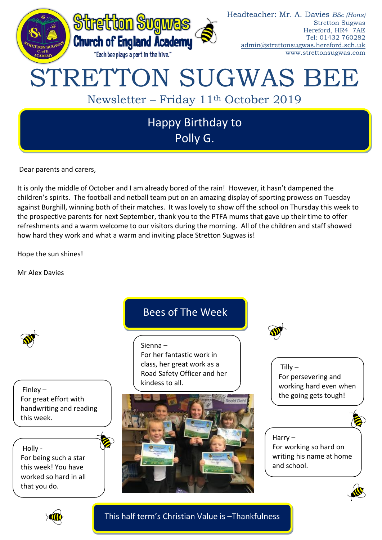

Dear parents and carers,

It is only the middle of October and I am already bored of the rain! However, it hasn't dampened the children's spirits. The football and netball team put on an amazing display of sporting prowess on Tuesday against Burghill, winning both of their matches. It was lovely to show off the school on Thursday this week to the prospective parents for next September, thank you to the PTFA mums that gave up their time to offer refreshments and a warm welcome to our visitors during the morning. All of the children and staff showed how hard they work and what a warm and inviting place Stretton Sugwas is!

Hope the sun shines!

Mr Alex Davies





This half term's Christian Value is –Thankfulness